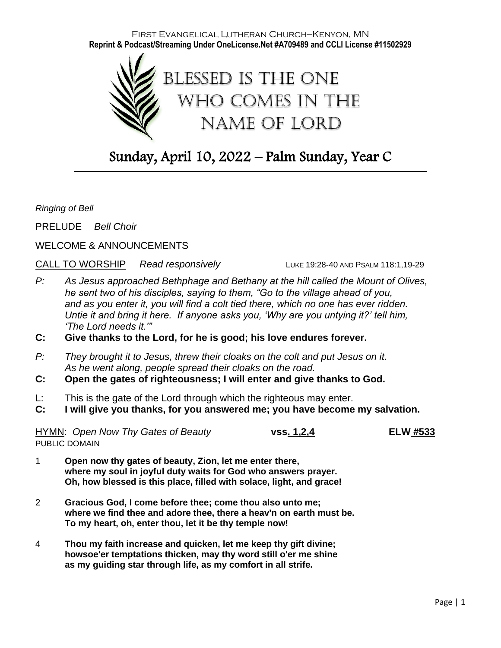#### First Evangelical Lutheran Church—Kenyon, MN **Reprint & Podcast/Streaming Under OneLicense.Net #A709489 and CCLI License #11502929**



# Sunday, April 10, 2022 – Palm Sunday, Year C

*Ringing of Bell*

PRELUDE *Bell Choir*

WELCOME & ANNOUNCEMENTS

CALL TO WORSHIP*Read responsively*LUKE 19:28-40 AND PSALM 118:1,19-29

- *P: As Jesus approached Bethphage and Bethany at the hill called the Mount of Olives, he sent two of his disciples, saying to them, "Go to the village ahead of you, and as you enter it, you will find a colt tied there, which no one has ever ridden. Untie it and bring it here. If anyone asks you, 'Why are you untying it?' tell him, 'The Lord needs it.'"*
- **C: Give thanks to the Lord, for he is good; his love endures forever.**
- *P: They brought it to Jesus, threw their cloaks on the colt and put Jesus on it. As he went along, people spread their cloaks on the road.*
- **C: Open the gates of righteousness; I will enter and give thanks to God.**
- L: This is the gate of the Lord through which the righteous may enter.
- **C: I will give you thanks, for you answered me; you have become my salvation.**

HYMN:*Open Now Thy Gates of Beauty* **vss. 1,2,4 ELW #533** PUBLIC DOMAIN

- 1 **Open now thy gates of beauty, Zion, let me enter there, where my soul in joyful duty waits for God who answers prayer. Oh, how blessed is this place, filled with solace, light, and grace!**
- 2 **Gracious God, I come before thee; come thou also unto me; where we find thee and adore thee, there a heav'n on earth must be. To my heart, oh, enter thou, let it be thy temple now!**
- 4 **Thou my faith increase and quicken, let me keep thy gift divine; howsoe'er temptations thicken, may thy word still o'er me shine as my guiding star through life, as my comfort in all strife.**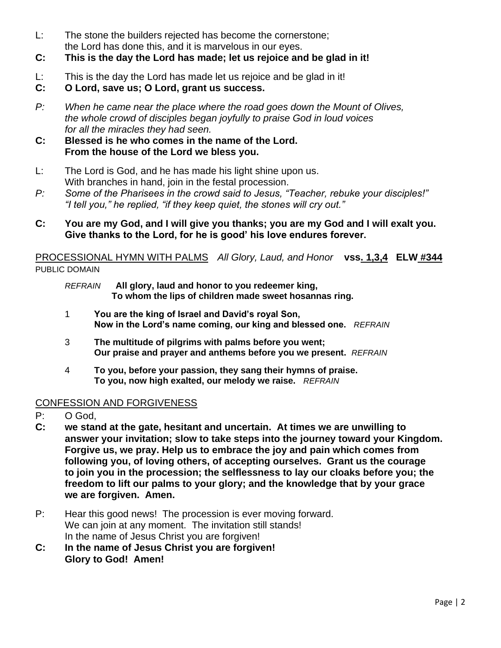- L: The stone the builders rejected has become the cornerstone; the Lord has done this, and it is marvelous in our eyes.
- **C: This is the day the Lord has made; let us rejoice and be glad in it!**
- L: This is the day the Lord has made let us rejoice and be glad in it!
- **C: O Lord, save us; O Lord, grant us success.**
- *P: When he came near the place where the road goes down the Mount of Olives, the whole crowd of disciples began joyfully to praise God in loud voices for all the miracles they had seen.*
- **C: Blessed is he who comes in the name of the Lord. From the house of the Lord we bless you.**
- L: The Lord is God, and he has made his light shine upon us. With branches in hand, join in the festal procession.
- *P: Some of the Pharisees in the crowd said to Jesus, "Teacher, rebuke your disciples!" "I tell you," he replied, "if they keep quiet, the stones will cry out."*
- **C: You are my God, and I will give you thanks; you are my God and I will exalt you. Give thanks to the Lord, for he is good' his love endures forever.**

PROCESSIONAL HYMN WITH PALMS *All Glory, Laud, and Honor* **vss. 1,3,4 ELW #344** PUBLIC DOMAIN

*REFRAIN* **All glory, laud and honor to you redeemer king, To whom the lips of children made sweet hosannas ring.**

- 1 **You are the king of Israel and David's royal Son, Now in the Lord's name coming, our king and blessed one.** *REFRAIN*
- 3 **The multitude of pilgrims with palms before you went; Our praise and prayer and anthems before you we present.** *REFRAIN*
- 4 **To you, before your passion, they sang their hymns of praise. To you, now high exalted, our melody we raise.** *REFRAIN*

# CONFESSION AND FORGIVENESS

- P: O God,
- **C: we stand at the gate, hesitant and uncertain. At times we are unwilling to answer your invitation; slow to take steps into the journey toward your Kingdom. Forgive us, we pray. Help us to embrace the joy and pain which comes from following you, of loving others, of accepting ourselves. Grant us the courage to join you in the procession; the selflessness to lay our cloaks before you; the freedom to lift our palms to your glory; and the knowledge that by your grace we are forgiven. Amen.**
- P: Hear this good news! The procession is ever moving forward. We can join at any moment. The invitation still stands! In the name of Jesus Christ you are forgiven!
- **C: In the name of Jesus Christ you are forgiven! Glory to God! Amen!**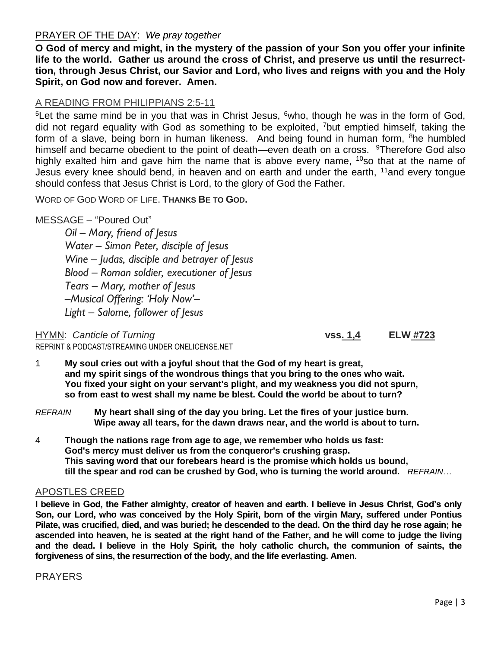## PRAYER OF THE DAY: *We pray together*

**O God of mercy and might, in the mystery of the passion of your Son you offer your infinite life to the world. Gather us around the cross of Christ, and preserve us until the resurrecttion, through Jesus Christ, our Savior and Lord, who lives and reigns with you and the Holy Spirit, on God now and forever. Amen.**

# A READING FROM PHILIPPIANS 2:5-11

<sup>5</sup>Let the same mind be in you that was in Christ Jesus,  $6$ who, though he was in the form of God, did not regard equality with God as something to be exploited, <sup>7</sup>but emptied himself, taking the form of a slave, being born in human likeness. And being found in human form, <sup>8</sup>he humbled himself and became obedient to the point of death—even death on a cross. <sup>9</sup>Therefore God also highly exalted him and gave him the name that is above every name,  $10$ so that at the name of Jesus every knee should bend, in heaven and on earth and under the earth, <sup>11</sup>and every tongue should confess that Jesus Christ is Lord, to the glory of God the Father.

WORD OF GOD WORD OF LIFE. **THANKS BE TO GOD.**

MESSAGE – "Poured Out"

*Oil – Mary, friend of Jesus Water – Simon Peter, disciple of Jesus Wine – Judas, disciple and betrayer of Jesus Blood – Roman soldier, executioner of Jesus Tears – Mary, mother of Jesus –Musical Offering: 'Holy Now'– Light – Salome, follower of Jesus*

HYMN: *Canticle of Turning* **vss. 1,4 ELW #723** REPRINT & PODCAST/STREAMING UNDER ONELICENSE.NET

- 1 **My soul cries out with a joyful shout that the God of my heart is great, and my spirit sings of the wondrous things that you bring to the ones who wait. You fixed your sight on your servant's plight, and my weakness you did not spurn, so from east to west shall my name be blest. Could the world be about to turn?**
- *REFRAIN* **My heart shall sing of the day you bring. Let the fires of your justice burn. Wipe away all tears, for the dawn draws near, and the world is about to turn.**
- 4 **Though the nations rage from age to age, we remember who holds us fast: God's mercy must deliver us from the conqueror's crushing grasp. This saving word that our forebears heard is the promise which holds us bound, till the spear and rod can be crushed by God, who is turning the world around.** *REFRAIN…*

## APOSTLES CREED

**I believe in God, the Father almighty, creator of heaven and earth. I believe in Jesus Christ, God's only Son, our Lord, who was conceived by the Holy Spirit, born of the virgin Mary, suffered under Pontius Pilate, was crucified, died, and was buried; he descended to the dead. On the third day he rose again; he ascended into heaven, he is seated at the right hand of the Father, and he will come to judge the living and the dead. I believe in the Holy Spirit, the holy catholic church, the communion of saints, the forgiveness of sins, the resurrection of the body, and the life everlasting. Amen.**

PRAYERS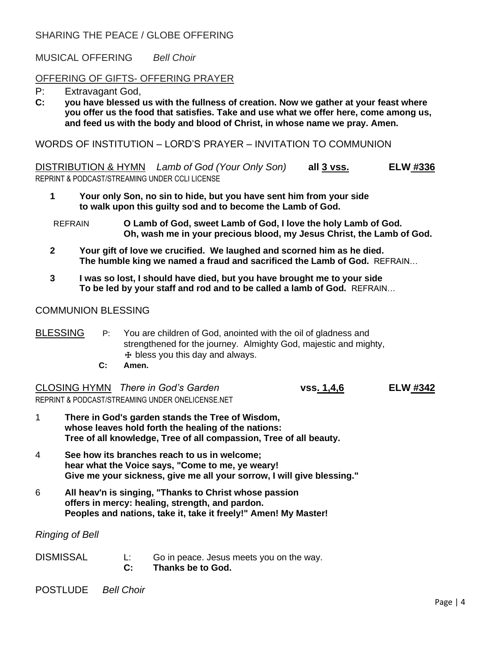# SHARING THE PEACE / GLOBE OFFERING

MUSICAL OFFERING *Bell Choir*

### OFFERING OF GIFTS- OFFERING PRAYER

- P: Extravagant God,
- **C: you have blessed us with the fullness of creation. Now we gather at your feast where you offer us the food that satisfies. Take and use what we offer here, come among us, and feed us with the body and blood of Christ, in whose name we pray. Amen.**

WORDS OF INSTITUTION – LORD'S PRAYER – INVITATION TO COMMUNION

DISTRIBUTION & HYMN *Lamb of God (Your Only Son)* **all 3 vss. ELW #336** REPRINT & PODCAST/STREAMING UNDER CCLI LICENSE

- **1 Your only Son, no sin to hide, but you have sent him from your side to walk upon this guilty sod and to become the Lamb of God.**
- REFRAIN **O Lamb of God, sweet Lamb of God, I love the holy Lamb of God. Oh, wash me in your precious blood, my Jesus Christ, the Lamb of God.**
- **2 Your gift of love we crucified. We laughed and scorned him as he died. The humble king we named a fraud and sacrificed the Lamb of God.** REFRAIN…
- **3 I was so lost, I should have died, but you have brought me to your side To be led by your staff and rod and to be called a lamb of God.** REFRAIN…

#### COMMUNION BLESSING

- BLESSING P: You are children of God, anointed with the oil of gladness and strengthened for the journey. Almighty God, majestic and mighty,  $<sup>+</sup>$  bless you this day and always.</sup>
	- **C: Amen.**

CLOSING HYMN *There in God's Garden* **vss. 1,4,6 ELW #342** REPRINT & PODCAST/STREAMING UNDER ONELICENSE.NET

- 1 **There in God's garden stands the Tree of Wisdom, whose leaves hold forth the healing of the nations: Tree of all knowledge, Tree of all compassion, Tree of all beauty.**
- 4 **See how its branches reach to us in welcome; hear what the Voice says, "Come to me, ye weary! Give me your sickness, give me all your sorrow, I will give blessing."**
- 6 **All heav'n is singing, "Thanks to Christ whose passion offers in mercy: healing, strength, and pardon. Peoples and nations, take it, take it freely!" Amen! My Master!**

*Ringing of Bell*

DISMISSAL L: Go in peace. Jesus meets you on the way.  **C: Thanks be to God.**

POSTLUDE *Bell Choir*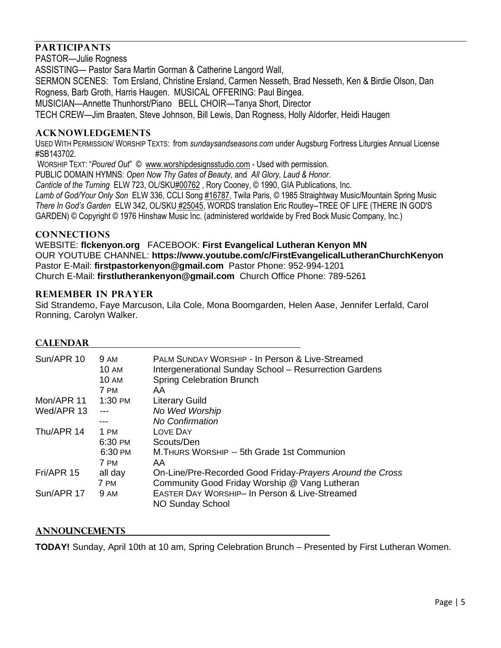# **PARTICIPANTS**

PASTOR—Julie Rogness

ASSISTING— Pastor Sara Martin Gorman & Catherine Langord Wall,

SERMON SCENES: Tom Ersland, Christine Ersland, Carmen Nesseth, Brad Nesseth, Ken & Birdie Olson, Dan Rogness, Barb Groth, Harris Haugen. MUSICAL OFFERING: Paul Bingea.

MUSICIAN—Annette Thunhorst/Piano BELL CHOIR—Tanya Short, Director

TECH CREW—Jim Braaten, Steve Johnson, Bill Lewis, Dan Rogness, Holly Aldorfer, Heidi Haugen

### **ACKNOWLEDGEMENTS**

USED WITH PERMISSION/ WORSHIP TEXTS: from *sundaysandseasons.com* under Augsburg Fortress Liturgies Annual License #SB143702.

WORSHIP TEXT: "*Poured Out*" © [www.worshipdesignsstudio.com](http://www.worshipdesignsstudio.com/) - Used with permission.

PUBLIC DOMAIN HYMNS: *Open Now Thy Gates of Beauty,* and *All Glory, Laud & Honor*.

*Canticle of the Turning* ELW 723, OL/SK[U#00762](https://www.onelicense.net/search?term=Canticle+of+the+Turning&hymnal=&hymn=&page=1&type=submit-term&addition=&downloads-only=false) , Rory Cooney, © 1990, GIA Publications, Inc.

*Lamb of God/Your Only Son* ELW 336, CCLI Song #16787, Twila Paris, © 1985 Straightway Music/Mountain Spring Music *There In God's Garden* ELW 342, OL/SKU #25045, WORDS translation Eric Routley--TREE OF LIFE (THERE IN GOD'S GARDEN) © Copyright © 1976 Hinshaw Music Inc. (administered worldwide by Fred Bock Music Company, Inc.)

#### **CONNECTIONS**

WEBSITE: **flckenyon.org** FACEBOOK: **First Evangelical Lutheran Kenyon MN** OUR YOUTUBE CHANNEL: **<https://www.youtube.com/c/FirstEvangelicalLutheranChurchKenyon>** Pastor E-Mail: **[firstpastorkenyon@gmail.com](mailto:firstpastorkenyon@gmail.com)** Pastor Phone: 952-994-1201 Church E-Mail: **[firstlutherankenyon@gmail.com](mailto:firstlutherankenyon@gmail.com)** Church Office Phone: 789-5261

#### **REMEMBER IN PRAYER**

Sid Strandemo, Faye Marcuson, Lila Cole, Mona Boomgarden, Helen Aase, Jennifer Lerfald, Carol Ronning, Carolyn Walker.

#### **CALENDAR**

| Sun/APR 10 | <b>9 AM</b><br><b>10 AM</b><br><b>10 AM</b><br>7 PM | <b>PALM SUNDAY WORSHIP - In Person &amp; Live-Streamed</b><br>Intergenerational Sunday School - Resurrection Gardens<br><b>Spring Celebration Brunch</b><br>AA. |
|------------|-----------------------------------------------------|-----------------------------------------------------------------------------------------------------------------------------------------------------------------|
| Mon/APR 11 | $1:30$ PM                                           | <b>Literary Guild</b>                                                                                                                                           |
| Wed/APR 13 | ---                                                 | No Wed Worship                                                                                                                                                  |
|            | ---                                                 | No Confirmation                                                                                                                                                 |
| Thu/APR 14 | 1 PM                                                | LOVE DAY                                                                                                                                                        |
|            | 6:30 PM                                             | Scouts/Den                                                                                                                                                      |
|            | 6:30 PM                                             | M. THURS WORSHIP -- 5th Grade 1st Communion                                                                                                                     |
|            | 7 PM                                                | AA.                                                                                                                                                             |
| Fri/APR 15 | all day                                             | On-Line/Pre-Recorded Good Friday-Prayers Around the Cross                                                                                                       |
|            | 7 PM                                                | Community Good Friday Worship @ Vang Lutheran                                                                                                                   |
| Sun/APR 17 | <b>9 AM</b>                                         | EASTER DAY WORSHIP- In Person & Live-Streamed                                                                                                                   |
|            |                                                     | <b>NO Sunday School</b>                                                                                                                                         |

## **ANNOUNCEMENTS**

**TODAY!** Sunday, April 10th at 10 am, Spring Celebration Brunch – Presented by First Lutheran Women.